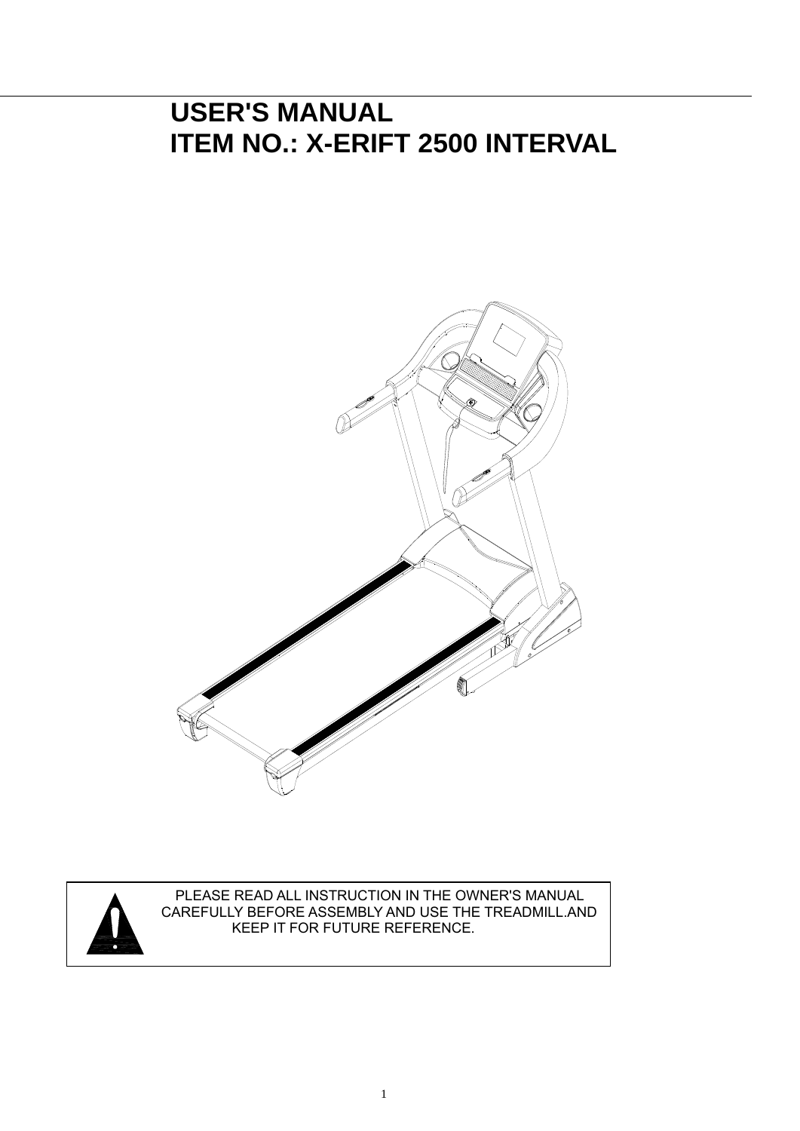## **USER'S MANUAL ITEM NO.: X-ERIFT 2500 INTERVAL**





PLEASE READ ALL INSTRUCTION IN THE OWNER'S MANUAL CAREFULLY BEFORE ASSEMBLY AND USE THE TREADMILL.AND KEEP IT FOR FUTURE REFERENCE.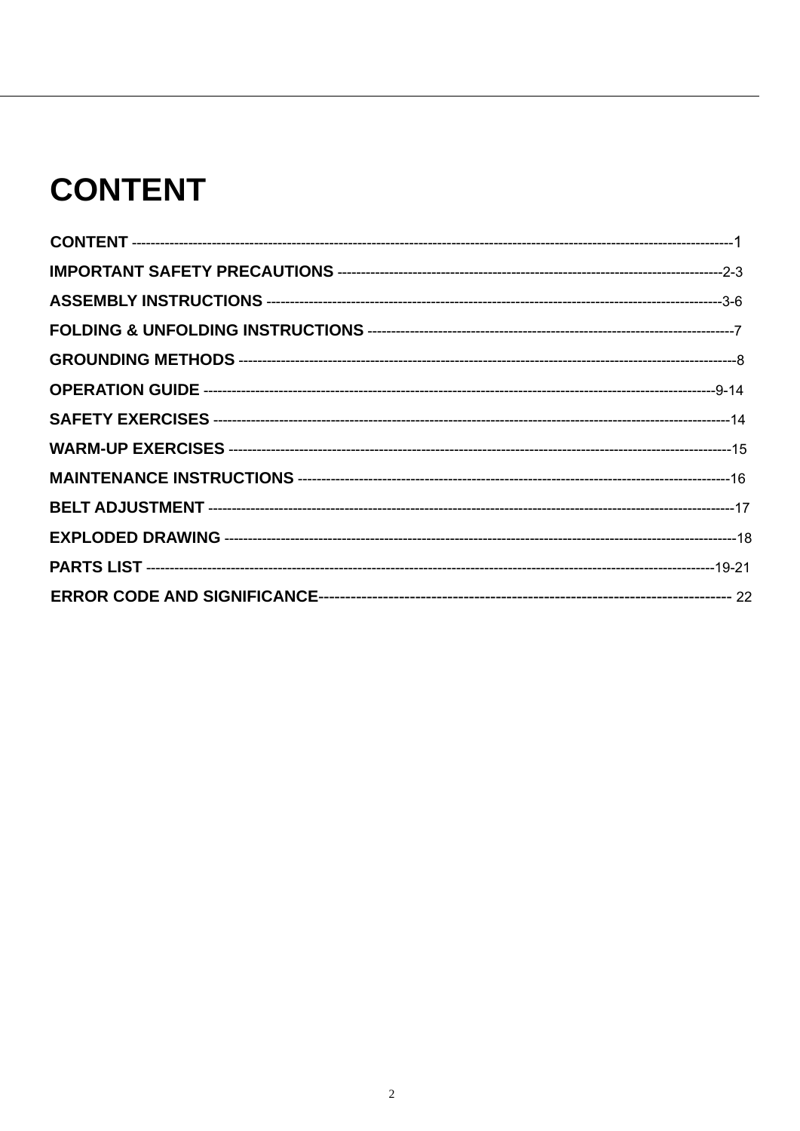# **CONTENT**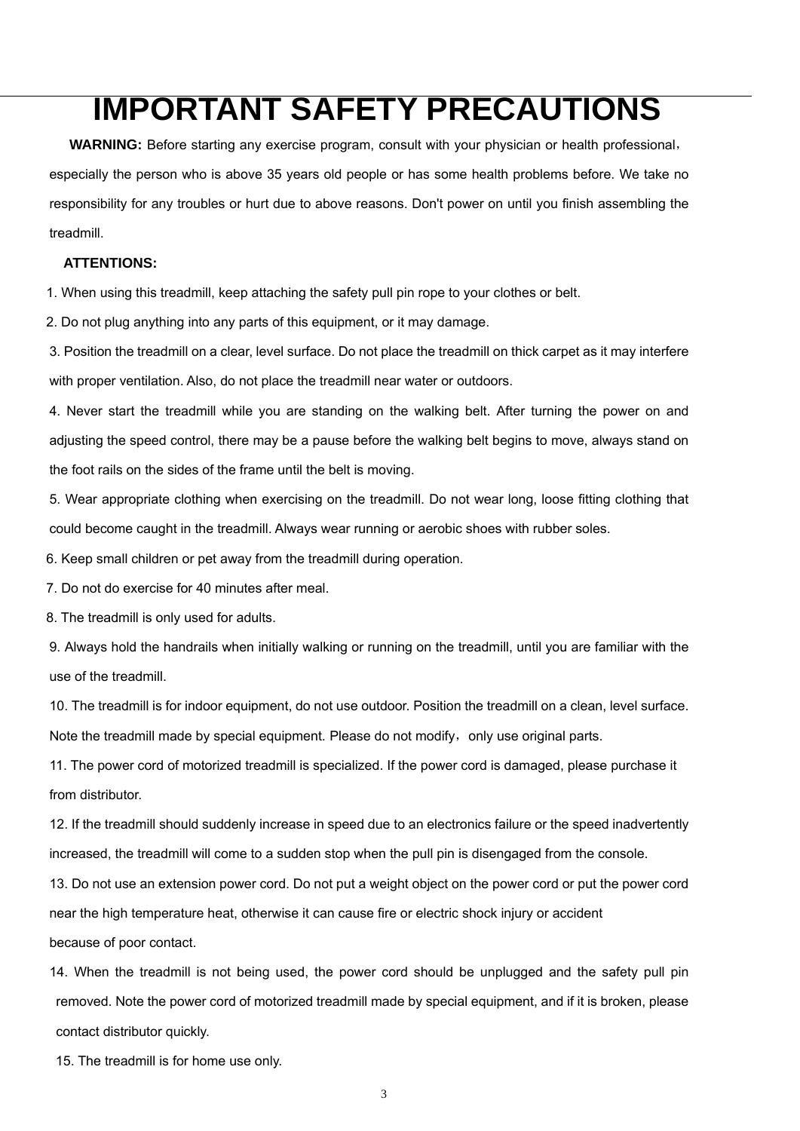## **IMPORTANT SAFETY PRECAUTIONS**

**WARNING:** Before starting any exercise program, consult with your physician or health professional, especially the person who is above 35 years old people or has some health problems before. We take no responsibility for any troubles or hurt due to above reasons. Don't power on until you finish assembling the treadmill.

#### **ATTENTIONS:**

1. When using this treadmill, keep attaching the safety pull pin rope to your clothes or belt.

2. Do not plug anything into any parts of this equipment, or it may damage.

3. Position the treadmill on a clear, level surface. Do not place the treadmill on thick carpet as it may interfere with proper ventilation. Also, do not place the treadmill near water or outdoors.

4. Never start the treadmill while you are standing on the walking belt. After turning the power on and adjusting the speed control, there may be a pause before the walking belt begins to move, always stand on the foot rails on the sides of the frame until the belt is moving.

5. Wear appropriate clothing when exercising on the treadmill. Do not wear long, loose fitting clothing that could become caught in the treadmill. Always wear running or aerobic shoes with rubber soles.

6. Keep small children or pet away from the treadmill during operation.

7. Do not do exercise for 40 minutes after meal.

8. The treadmill is only used for adults.

9. Always hold the handrails when initially walking or running on the treadmill, until you are familiar with the use of the treadmill.

10. The treadmill is for indoor equipment, do not use outdoor. Position the treadmill on a clean, level surface.

Note the treadmill made by special equipment. Please do not modify, only use original parts.

11. The power cord of motorized treadmill is specialized. If the power cord is damaged, please purchase it from distributor.

12. If the treadmill should suddenly increase in speed due to an electronics failure or the speed inadvertently increased, the treadmill will come to a sudden stop when the pull pin is disengaged from the console.

13. Do not use an extension power cord. Do not put a weight object on the power cord or put the power cord near the high temperature heat, otherwise it can cause fire or electric shock injury or accident because of poor contact.

14. When the treadmill is not being used, the power cord should be unplugged and the safety pull pin removed. Note the power cord of motorized treadmill made by special equipment, and if it is broken, please contact distributor quickly.

15. The treadmill is for home use only.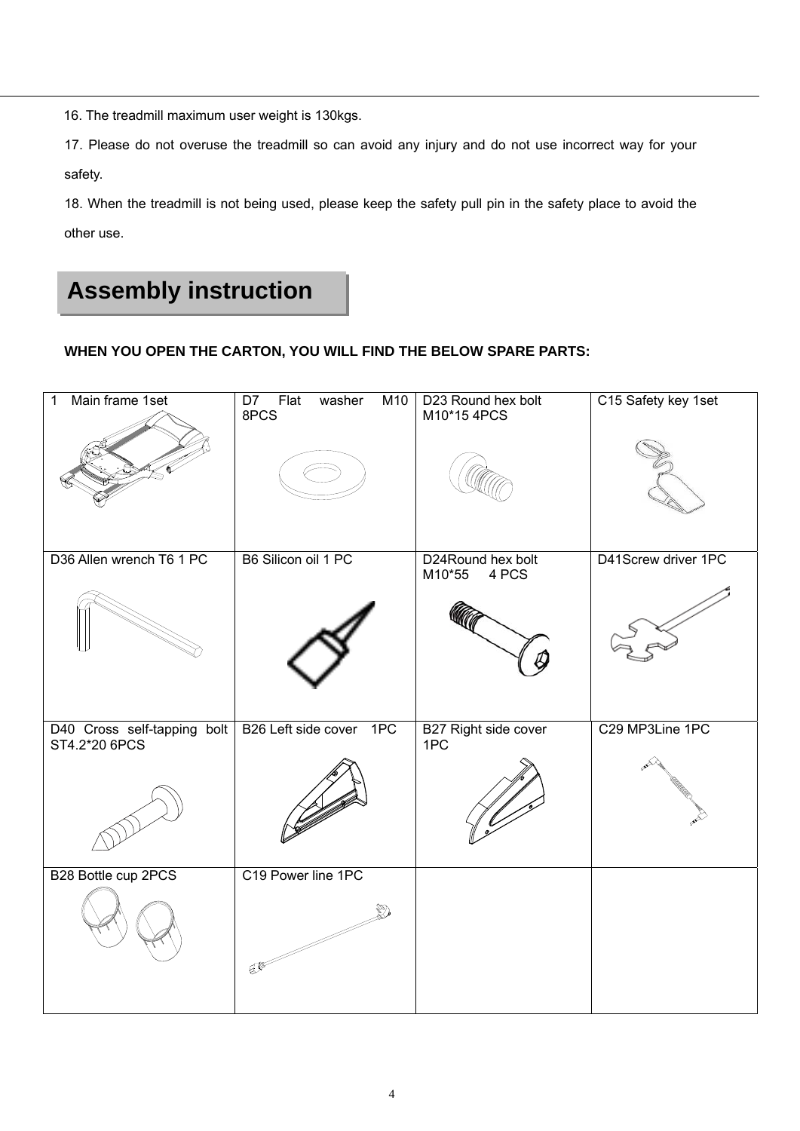16. The treadmill maximum user weight is 130kgs.

17. Please do not overuse the treadmill so can avoid any injury and do not use incorrect way for your safety.

18. When the treadmill is not being used, please keep the safety pull pin in the safety place to avoid the other use.

## **Assembly instruction**

#### **WHEN YOU OPEN THE CARTON, YOU WILL FIND THE BELOW SPARE PARTS:**

| Main frame 1set<br>$\mathbf{1}$              | $\overline{D7}$<br>Flat<br>M10<br>washer<br>8PCS | D23 Round hex bolt<br>M10*15 4PCS    | C15 Safety key 1set |
|----------------------------------------------|--------------------------------------------------|--------------------------------------|---------------------|
|                                              |                                                  |                                      |                     |
| D36 Allen wrench T6 1 PC                     | B6 Silicon oil 1 PC                              | D24Round hex bolt<br>4 PCS<br>M10*55 | D41Screw driver 1PC |
|                                              |                                                  |                                      |                     |
| D40 Cross self-tapping bolt<br>ST4.2*20 6PCS | B26 Left side cover 1PC                          | B27 Right side cover<br>1PC          | C29 MP3Line 1PC     |
|                                              |                                                  |                                      |                     |
| B28 Bottle cup 2PCS                          | C19 Power line 1PC                               |                                      |                     |
|                                              | E                                                |                                      |                     |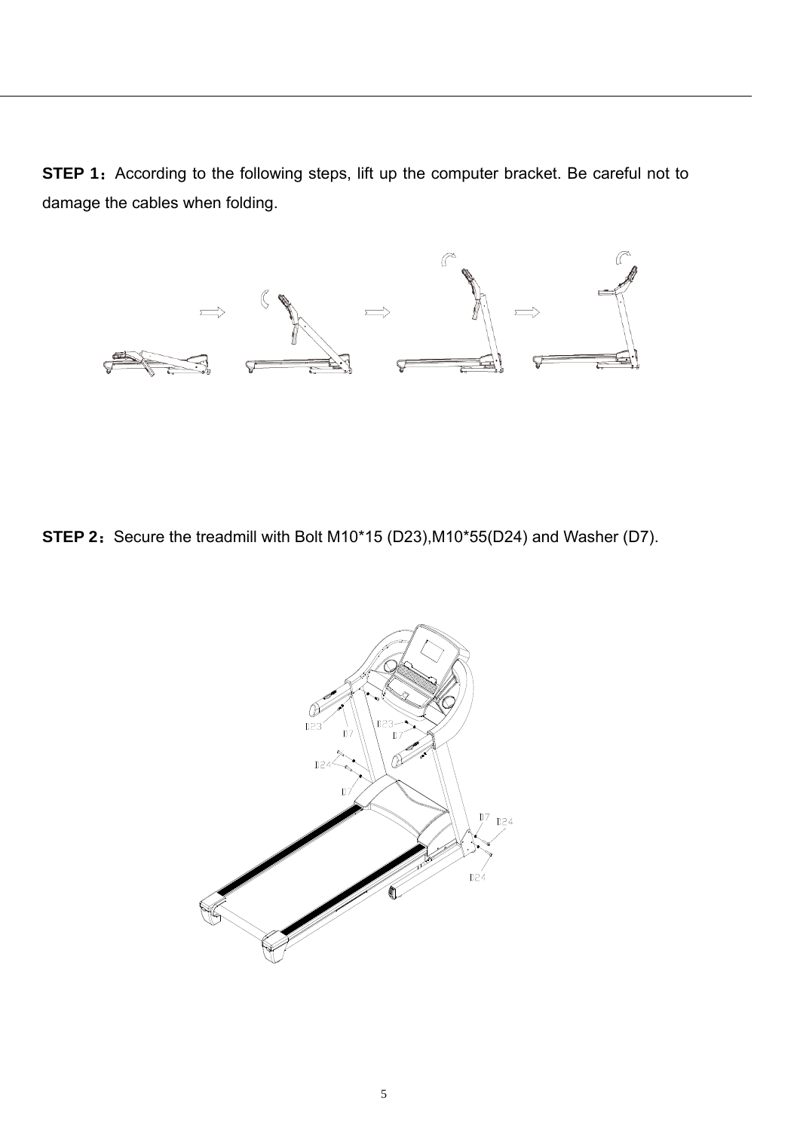**STEP 1:** According to the following steps, lift up the computer bracket. Be careful not to damage the cables when folding.



**STEP 2:** Secure the treadmill with Bolt M10\*15 (D23),M10\*55(D24) and Washer (D7).

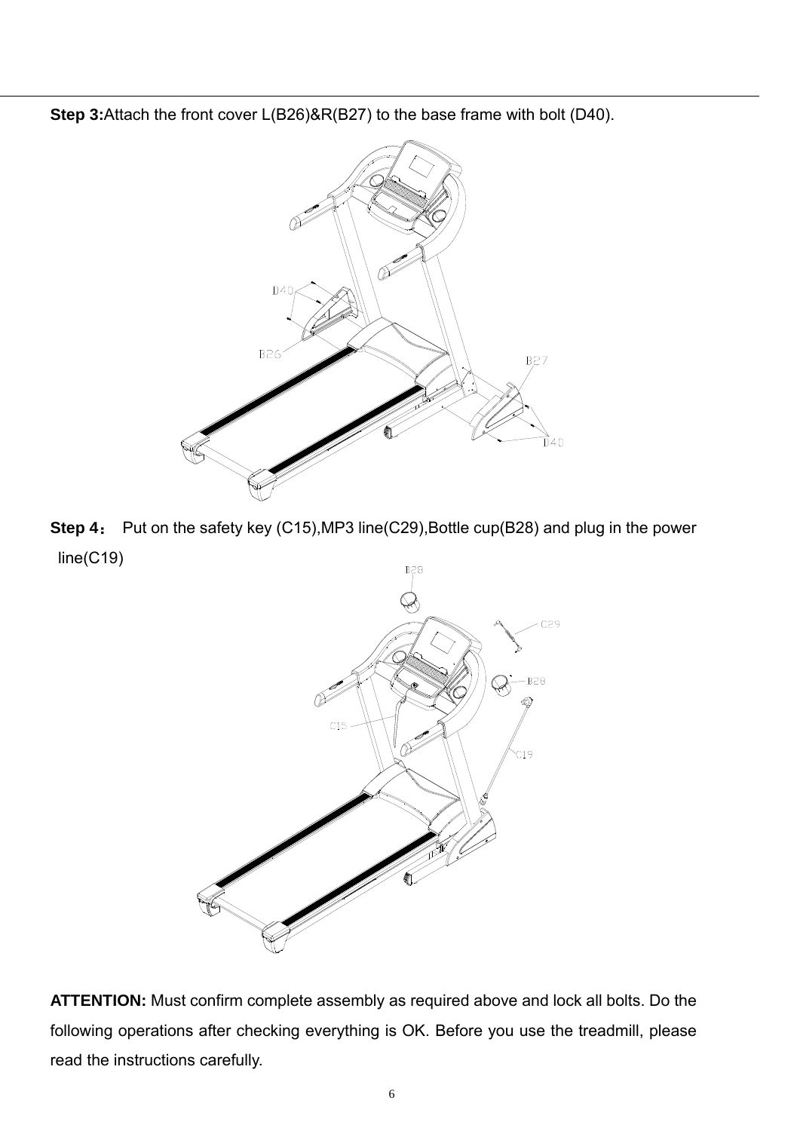**Step 3:**Attach the front cover L(B26)&R(B27) to the base frame with bolt (D40).



**Step 4**: Put on the safety key (C15),MP3 line(C29),Bottle cup(B28) and plug in the power line(C19)



**ATTENTION:** Must confirm complete assembly as required above and lock all bolts. Do the following operations after checking everything is OK. Before you use the treadmill, please read the instructions carefully.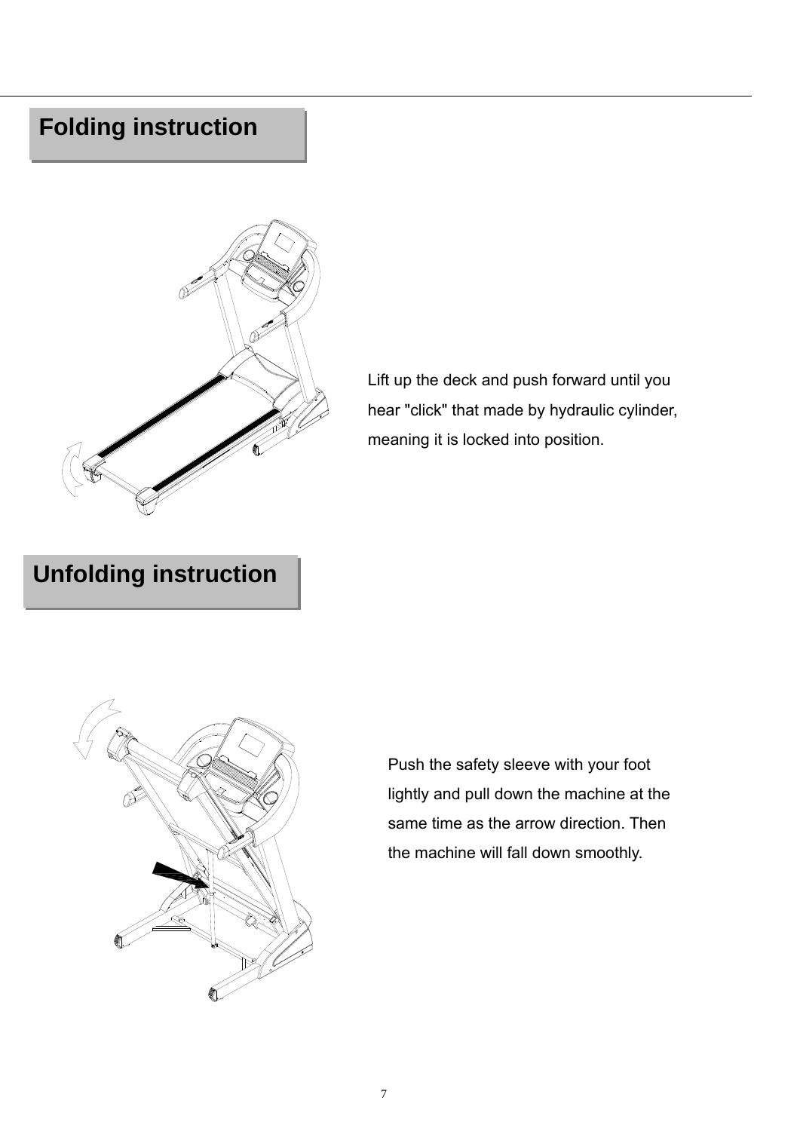### **Folding instruction**



Lift up the deck and push forward until you hear "click" that made by hydraulic cylinder, meaning it is locked into position.

## **Unfolding instruction**



Push the safety sleeve with your foot lightly and pull down the machine at the same time as the arrow direction. Then the machine will fall down smoothly.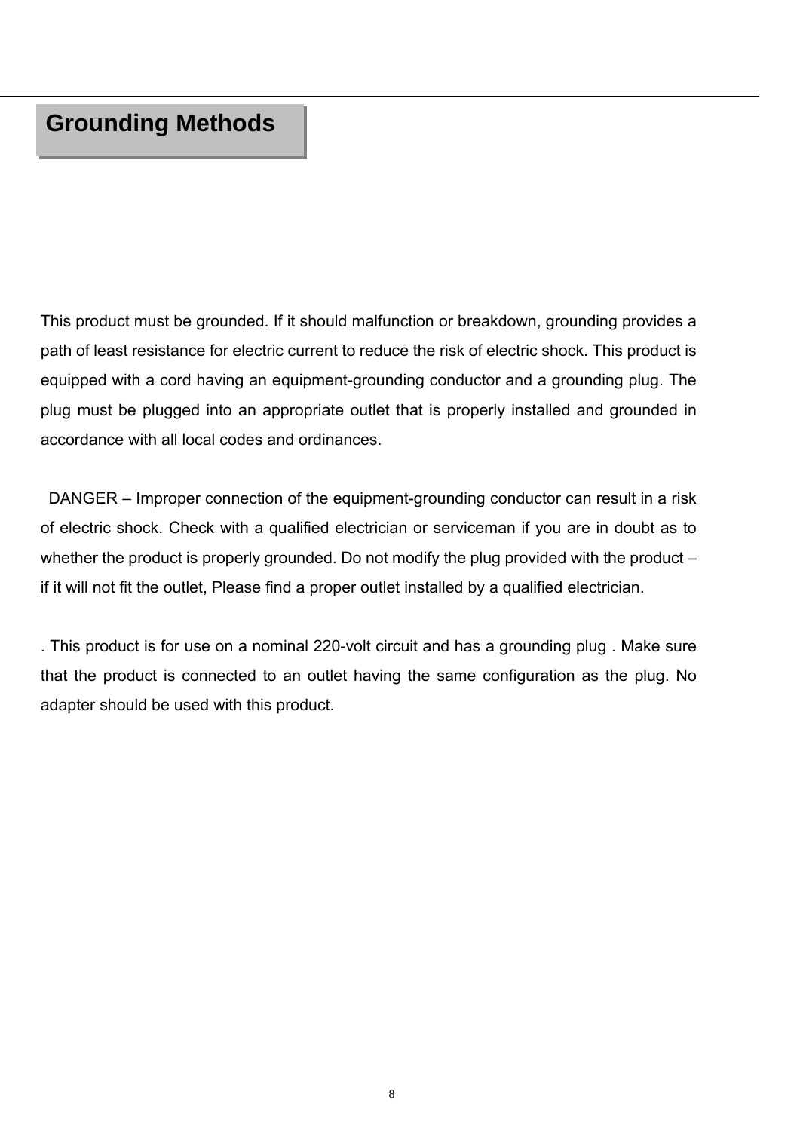This product must be grounded. If it should malfunction or breakdown, grounding provides a path of least resistance for electric current to reduce the risk of electric shock. This product is equipped with a cord having an equipment-grounding conductor and a grounding plug. The plug must be plugged into an appropriate outlet that is properly installed and grounded in accordance with all local codes and ordinances.

 DANGER – Improper connection of the equipment-grounding conductor can result in a risk of electric shock. Check with a qualified electrician or serviceman if you are in doubt as to whether the product is properly grounded. Do not modify the plug provided with the product – if it will not fit the outlet, Please find a proper outlet installed by a qualified electrician.

. This product is for use on a nominal 220-volt circuit and has a grounding plug . Make sure that the product is connected to an outlet having the same configuration as the plug. No adapter should be used with this product.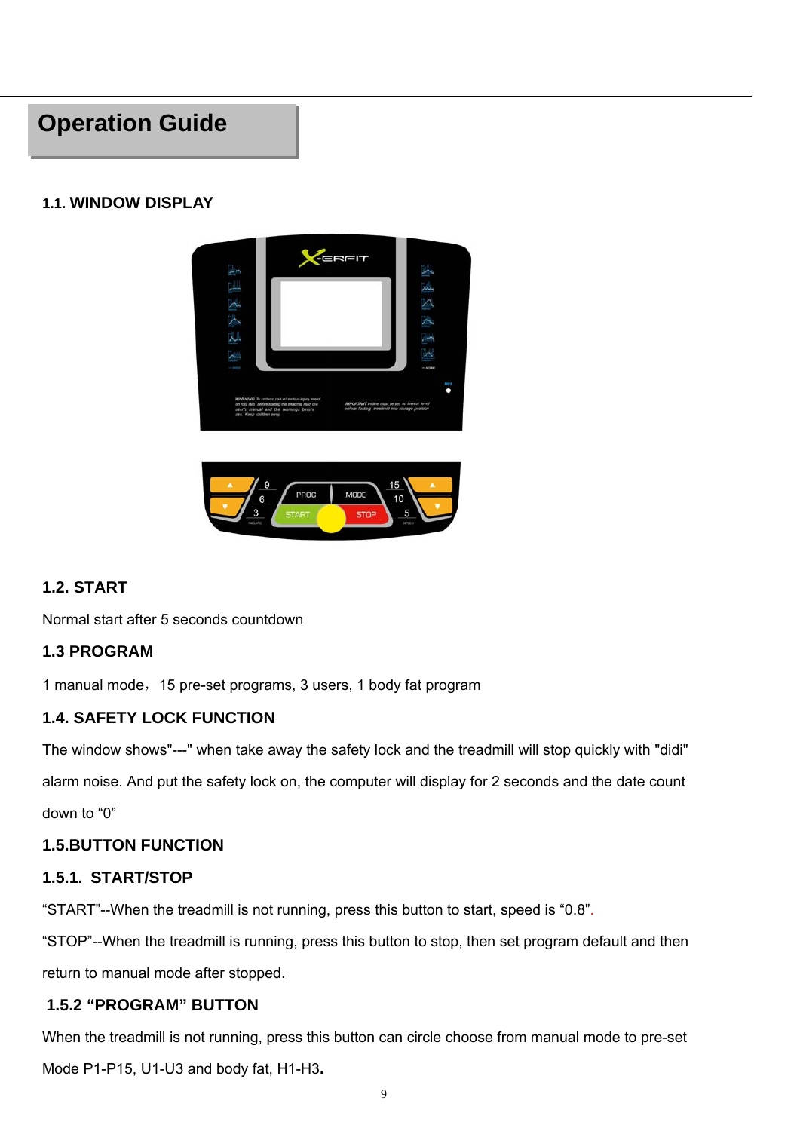### **Operation Guide**

#### **1.1. WINDOW DISPLAY**



#### **1.2. START**

Normal start after 5 seconds countdown

#### **1.3 PROGRAM**

1 manual mode,15 pre-set programs, 3 users, 1 body fat program

#### **1.4. SAFETY LOCK FUNCTION**

The window shows"---" when take away the safety lock and the treadmill will stop quickly with "didi" alarm noise. And put the safety lock on, the computer will display for 2 seconds and the date count down to "0"

#### **1.5.BUTTON FUNCTION**

#### **1.5.1. START/STOP**

"START"--When the treadmill is not running, press this button to start, speed is "0.8".

"STOP"--When the treadmill is running, press this button to stop, then set program default and then return to manual mode after stopped.

#### **1.5.2 "PROGRAM" BUTTON**

When the treadmill is not running, press this button can circle choose from manual mode to pre-set Mode P1-P15, U1-U3 and body fat, H1-H3**.**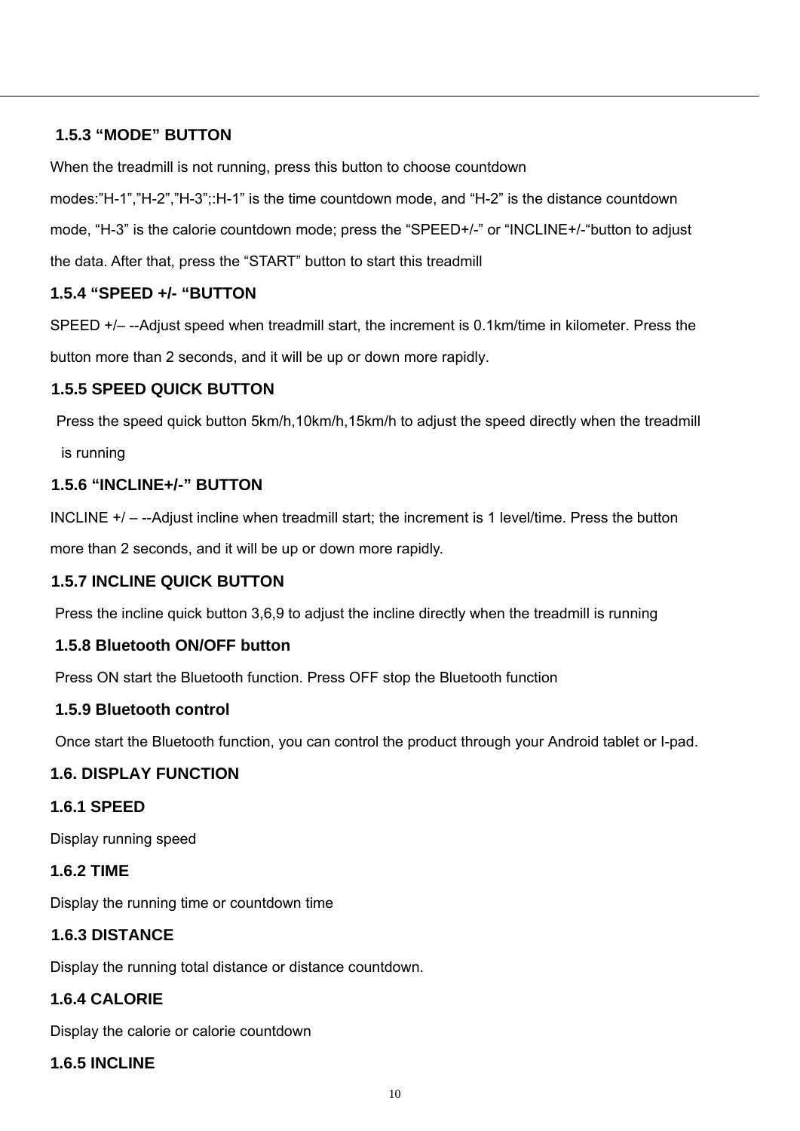#### **1.5.3 "MODE" BUTTON**

When the treadmill is not running, press this button to choose countdown

modes:"H-1","H-2","H-3";:H-1" is the time countdown mode, and "H-2" is the distance countdown mode, "H-3" is the calorie countdown mode; press the "SPEED+/-" or "INCLINE+/-"button to adjust the data. After that, press the "START" button to start this treadmill

#### **1.5.4 "SPEED +/- "BUTTON**

SPEED +/– --Adjust speed when treadmill start, the increment is 0.1km/time in kilometer. Press the button more than 2 seconds, and it will be up or down more rapidly.

#### **1.5.5 SPEED QUICK BUTTON**

Press the speed quick button 5km/h,10km/h,15km/h to adjust the speed directly when the treadmill is running

#### **1.5.6 "INCLINE+/-" BUTTON**

INCLINE +/ – --Adjust incline when treadmill start; the increment is 1 level/time. Press the button more than 2 seconds, and it will be up or down more rapidly.

#### **1.5.7 INCLINE QUICK BUTTON**

Press the incline quick button 3,6,9 to adjust the incline directly when the treadmill is running

#### **1.5.8 Bluetooth ON/OFF button**

Press ON start the Bluetooth function. Press OFF stop the Bluetooth function

#### **1.5.9 Bluetooth control**

Once start the Bluetooth function, you can control the product through your Android tablet or I-pad.

#### **1.6. DISPLAY FUNCTION**

#### **1.6.1 SPEED**

Display running speed

#### **1.6.2 TIME**

Display the running time or countdown time

#### **1.6.3 DISTANCE**

Display the running total distance or distance countdown.

#### **1.6.4 CALORIE**

Display the calorie or calorie countdown

#### **1.6.5 INCLINE**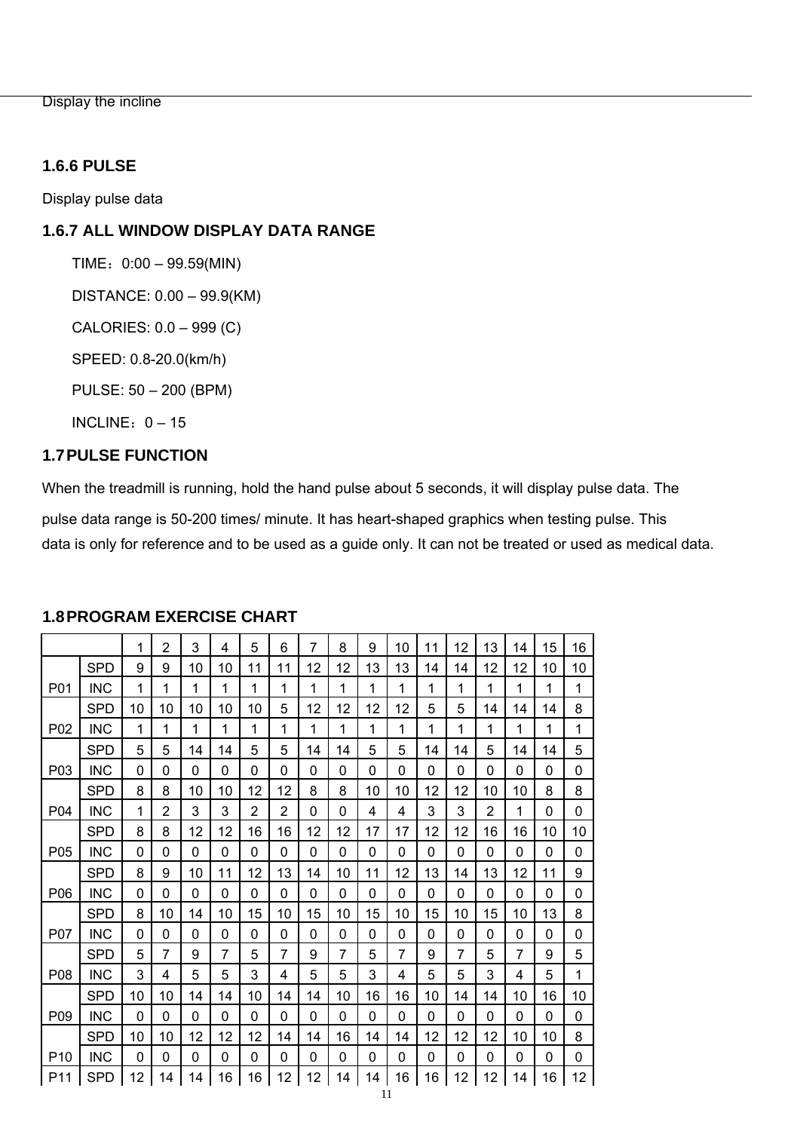Display the incline

#### **1.6.6 PULSE**

Display pulse data

#### **1.6.7 ALL WINDOW DISPLAY DATA RANGE**

 $TIME: 0:00 - 99.59(MIN)$ 

DISTANCE: 0.00 – 99.9(KM)

CALORIES: 0.0 – 999 (C)

SPEED: 0.8-20.0(km/h)

PULSE: 50 – 200 (BPM)

INCLINE:  $0 - 15$ 

#### **1.7 PULSE FUNCTION**

When the treadmill is running, hold the hand pulse about 5 seconds, it will display pulse data. The

pulse data range is 50-200 times/ minute. It has heart-shaped graphics when testing pulse. This data is only for reference and to be used as a guide only. It can not be treated or used as medical data.

|                  |            | 1        | $\overline{2}$ | 3            | 4  | 5              | 6  | 7        | 8  | 9  | 10 | 11 | 12 | 13 | 14 | 15 | 16 |
|------------------|------------|----------|----------------|--------------|----|----------------|----|----------|----|----|----|----|----|----|----|----|----|
|                  | <b>SPD</b> | 9        | 9              | 10           | 10 | 11             | 11 | 12       | 12 | 13 | 13 | 14 | 14 | 12 | 12 | 10 | 10 |
| P <sub>0</sub> 1 | <b>INC</b> | 1        | 1              | 1            | 1  | 1              | 1  | 1        | 1  | 1  | 1  | 1  | 1  | 1  | 1  | 1  | 1  |
|                  | <b>SPD</b> | 10       | 10             | 10           | 10 | 10             | 5  | 12       | 12 | 12 | 12 | 5  | 5  | 14 | 14 | 14 | 8  |
| P <sub>0</sub> 2 | <b>INC</b> | 1        | 1              | 1            | 1  | 1              | 1  | 1        | 1  | 1  | 1  | 1  | 1  | 1  | 1  | 1  | 1  |
|                  | <b>SPD</b> | 5        | 5              | 14           | 14 | 5              | 5  | 14       | 14 | 5  | 5  | 14 | 14 | 5  | 14 | 14 | 5  |
| P03              | <b>INC</b> | $\Omega$ | $\Omega$       | $\Omega$     | 0  | $\Omega$       | 0  | $\Omega$ | 0  | 0  | 0  | 0  | 0  | 0  | 0  | 0  | 0  |
|                  | <b>SPD</b> | 8        | 8              | 10           | 10 | 12             | 12 | 8        | 8  | 10 | 10 | 12 | 12 | 10 | 10 | 8  | 8  |
| P <sub>04</sub>  | <b>INC</b> | 1        | 2              | 3            | 3  | $\overline{2}$ | 2  | 0        | 0  | 4  | 4  | 3  | 3  | 2  | 1  | 0  | 0  |
|                  | SPD        | 8        | 8              | 12           | 12 | 16             | 16 | 12       | 12 | 17 | 17 | 12 | 12 | 16 | 16 | 10 | 10 |
| P05              | <b>INC</b> | $\Omega$ | $\Omega$       | 0            | 0  | 0              | 0  | 0        | 0  | 0  | 0  | 0  | 0  | 0  | 0  | 0  | 0  |
|                  | <b>SPD</b> | 8        | 9              | 10           | 11 | 12             | 13 | 14       | 10 | 11 | 12 | 13 | 14 | 13 | 12 | 11 | 9  |
| P06              | <b>INC</b> | 0        | $\Omega$       | $\Omega$     | 0  | 0              | 0  | 0        | 0  | 0  | 0  | 0  | 0  | 0  | 0  | 0  | 0  |
|                  | <b>SPD</b> | 8        | 10             | 14           | 10 | 15             | 10 | 15       | 10 | 15 | 10 | 15 | 10 | 15 | 10 | 13 | 8  |
| <b>P07</b>       | <b>INC</b> | 0        | 0              | $\mathbf{0}$ | 0  | 0              | 0  | 0        | 0  | 0  | 0  | 0  | 0  | 0  | 0  | 0  | 0  |
|                  | <b>SPD</b> | 5        | 7              | 9            | 7  | 5              | 7  | 9        | 7  | 5  | 7  | 9  | 7  | 5  | 7  | 9  | 5  |
| P08              | <b>INC</b> | 3        | 4              | 5            | 5  | 3              | 4  | 5        | 5  | 3  | 4  | 5  | 5  | 3  | 4  | 5  | 1  |
|                  | <b>SPD</b> | 10       | 10             | 14           | 14 | 10             | 14 | 14       | 10 | 16 | 16 | 10 | 14 | 14 | 10 | 16 | 10 |
| P09              | <b>INC</b> | 0        | 0              | 0            | 0  | 0              | 0  | 0        | 0  | 0  | 0  | 0  | 0  | 0  | 0  | 0  | 0  |
|                  | <b>SPD</b> | 10       | 10             | 12           | 12 | 12             | 14 | 14       | 16 | 14 | 14 | 12 | 12 | 12 | 10 | 10 | 8  |
| P <sub>10</sub>  | <b>INC</b> | $\Omega$ | $\Omega$       | $\Omega$     | 0  | $\mathbf 0$    | 0  | 0        | 0  | 0  | 0  | 0  | 0  | 0  | 0  | 0  | 0  |
| P <sub>11</sub>  | SPD        | 12       | 14             | 14           | 16 | 16             | 12 | 12       | 14 | 14 | 16 | 16 | 12 | 12 | 14 | 16 | 12 |

#### **1.8 PROGRAM EXERCISE CHART**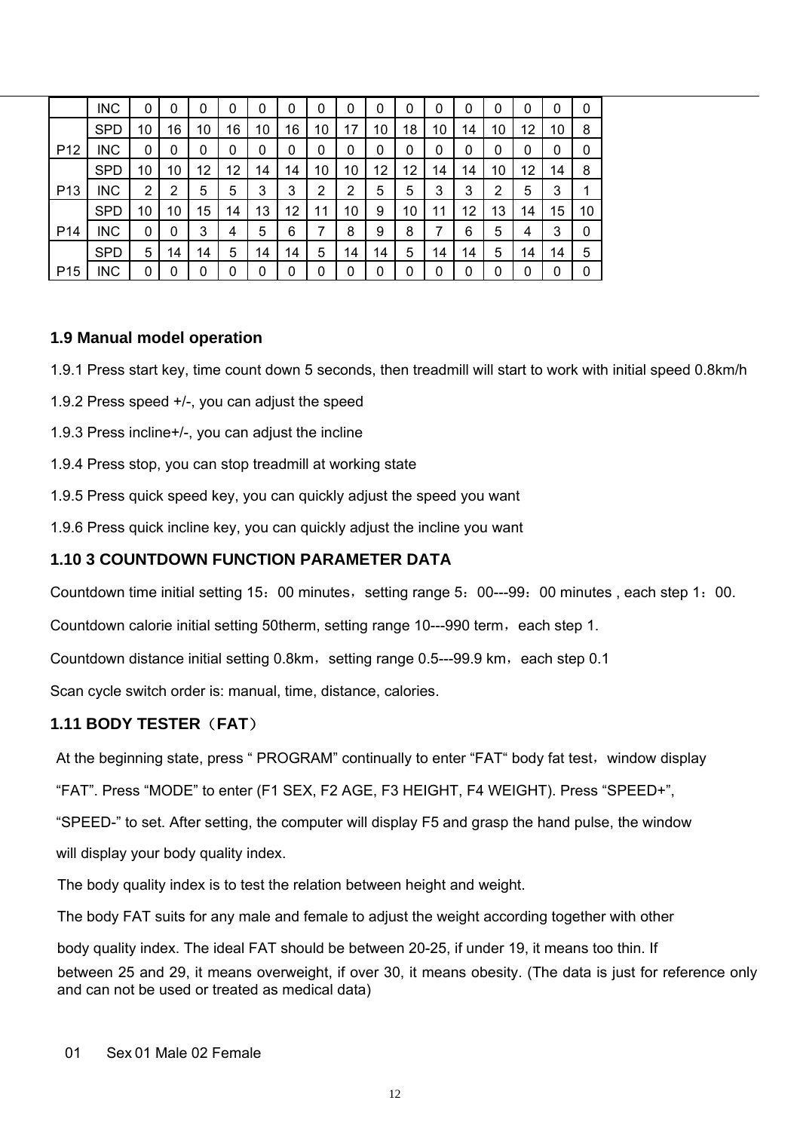|                 | <b>INC</b> | 0  | 0      | 0  | 0  | 0  | 0      | 0  | 0  | 0  | 0  | 0  | 0  | 0  | 0  | 0  | 0  |
|-----------------|------------|----|--------|----|----|----|--------|----|----|----|----|----|----|----|----|----|----|
|                 | <b>SPD</b> | 10 | 16     | 10 | 16 | 10 | 6<br>1 | 10 | 17 | 10 | 18 | 10 | 14 | 10 | 12 | 10 | 8  |
| P <sub>12</sub> | <b>INC</b> | 0  | 0      | 0  | 0  | 0  | 0      | 0  | 0  | 0  | 0  | 0  | 0  | 0  | 0  | 0  | 0  |
|                 | <b>SPD</b> | 10 | 10     | 12 | 12 | 14 | 14     | 10 | 10 | 12 | 12 | 14 | 14 | 10 | 12 | 14 | 8  |
| P <sub>13</sub> | <b>INC</b> | 2  | າ<br>ے | 5  | 5  | 3  | 3      | 2  | 2  | 5  | 5  | 3  | 3  | 2  | 5  | 3  | 1  |
|                 | <b>SPD</b> | 10 | 10     | 15 | 14 | 13 | 12     | 11 | 10 | 9  | 10 | 11 | 12 | 13 | 14 | 15 | 10 |
| P <sub>14</sub> | <b>INC</b> | 0  | 0      | 3  | 4  | 5  | 6      | 7  | 8  | 9  | 8  | 7  | 6  | 5  | 4  | 3  | 0  |
|                 | <b>SPD</b> | 5  | 14     | 14 | 5  | 14 | 14     | 5  | 14 | 14 | 5  | 14 | 14 | 5  | 14 | 14 | 5  |
| P <sub>15</sub> | <b>INC</b> | 0  |        | 0  | 0  | 0  | 0      | 0  | 0  | 0  | 0  | 0  | 0  | 0  | 0  | 0  | 0  |

#### **1.9 Manual model operation**

1.9.1 Press start key, time count down 5 seconds, then treadmill will start to work with initial speed 0.8km/h

- 1.9.2 Press speed +/-, you can adjust the speed
- 1.9.3 Press incline+/-, you can adjust the incline
- 1.9.4 Press stop, you can stop treadmill at working state
- 1.9.5 Press quick speed key, you can quickly adjust the speed you want
- 1.9.6 Press quick incline key, you can quickly adjust the incline you want

#### **1.10 3 COUNTDOWN FUNCTION PARAMETER DATA**

Countdown time initial setting 15: 00 minutes, setting range 5: 00---99: 00 minutes, each step 1: 00.

Countdown calorie initial setting 50therm, setting range 10---990 term, each step 1.

Countdown distance initial setting  $0.8$ km, setting range  $0.5-99.9$  km, each step  $0.1$ 

Scan cycle switch order is: manual, time, distance, calories.

#### **1.11 BODY TESTER**(**FAT**)

At the beginning state, press " PROGRAM" continually to enter "FAT" body fat test, window display

"FAT". Press "MODE" to enter (F1 SEX, F2 AGE, F3 HEIGHT, F4 WEIGHT). Press "SPEED+",

"SPEED-" to set. After setting, the computer will display F5 and grasp the hand pulse, the window

will display your body quality index.

The body quality index is to test the relation between height and weight.

The body FAT suits for any male and female to adjust the weight according together with other

body quality index. The ideal FAT should be between 20-25, if under 19, it means too thin. If between 25 and 29, it means overweight, if over 30, it means obesity. (The data is just for reference only and can not be used or treated as medical data)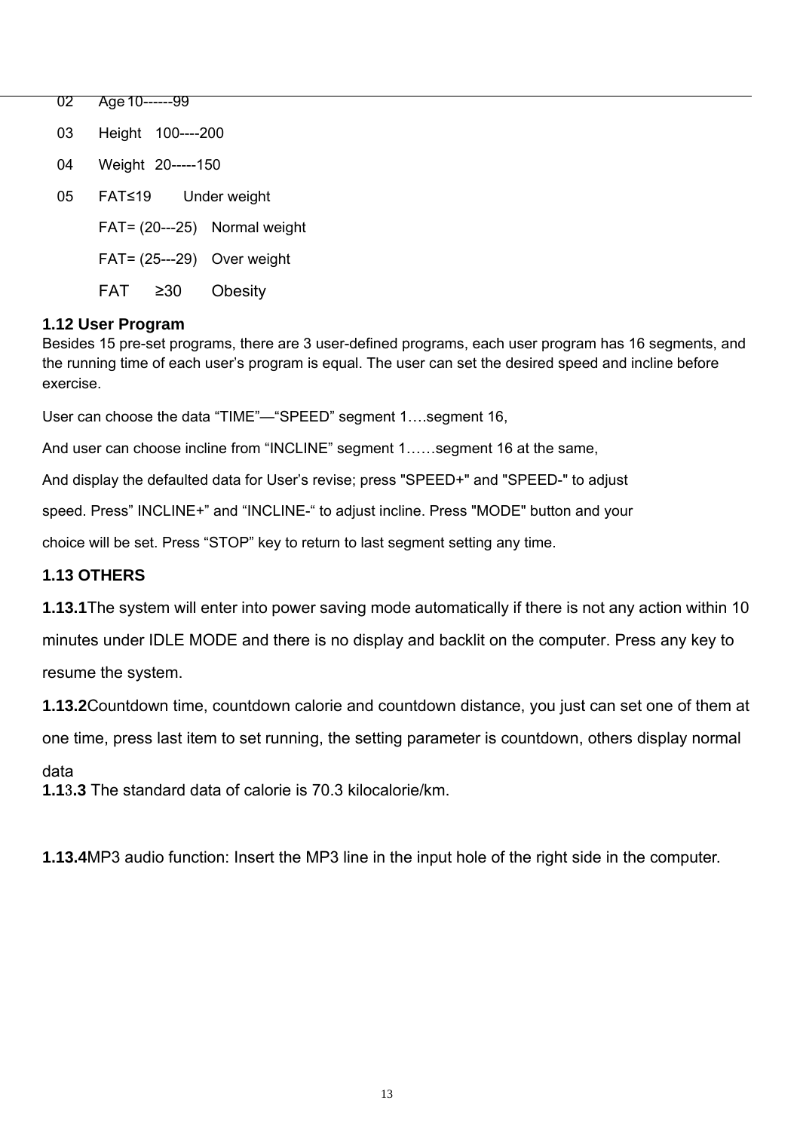02 Age 10------99 03 Height 100----200 04 Weight 20-----150 05 FAT≤19 Under weight  $FAT = (20--25)$  Normal weight  $FAT = (25--29)$  Over weight FAT ≥30 Obesity

#### **1.12 User Program**

Besides 15 pre-set programs, there are 3 user-defined programs, each user program has 16 segments, and the running time of each user's program is equal. The user can set the desired speed and incline before exercise.

User can choose the data "TIME"—"SPEED" segment 1….segment 16,

And user can choose incline from "INCLINE" segment 1……segment 16 at the same,

And display the defaulted data for User's revise; press "SPEED+" and "SPEED-" to adjust

speed. Press" INCLINE+" and "INCLINE-" to adjust incline. Press "MODE" button and your

choice will be set. Press "STOP" key to return to last segment setting any time.

#### **1.13 OTHERS**

**1.13.1**The system will enter into power saving mode automatically if there is not any action within 10

minutes under IDLE MODE and there is no display and backlit on the computer. Press any key to resume the system.

**1.13.2**Countdown time, countdown calorie and countdown distance, you just can set one of them at

one time, press last item to set running, the setting parameter is countdown, others display normal

#### data

**1.1**3**.3** The standard data of calorie is 70.3 kilocalorie/km.

**1.13.4**MP3 audio function: Insert the MP3 line in the input hole of the right side in the computer.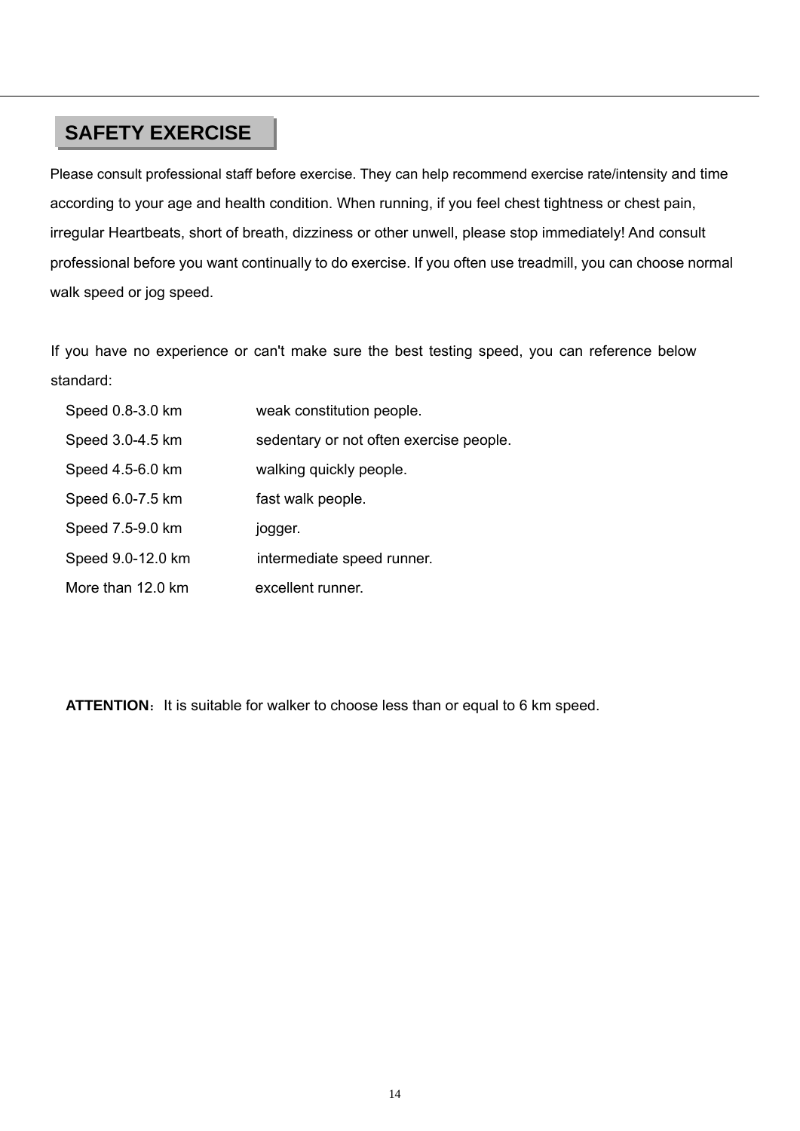### **SAFETY EXERCISE**

Please consult professional staff before exercise. They can help recommend exercise rate/intensity and time according to your age and health condition. When running, if you feel chest tightness or chest pain, irregular Heartbeats, short of breath, dizziness or other unwell, please stop immediately! And consult professional before you want continually to do exercise. If you often use treadmill, you can choose normal walk speed or jog speed.

If you have no experience or can't make sure the best testing speed, you can reference below standard:

| Speed 0.8-3.0 km  | weak constitution people.               |
|-------------------|-----------------------------------------|
| Speed 3.0-4.5 km  | sedentary or not often exercise people. |
| Speed 4.5-6.0 km  | walking quickly people.                 |
| Speed 6.0-7.5 km  | fast walk people.                       |
| Speed 7.5-9.0 km  | jogger.                                 |
| Speed 9.0-12.0 km | intermediate speed runner.              |
| More than 12.0 km | excellent runner.                       |

ATTENTION: It is suitable for walker to choose less than or equal to 6 km speed.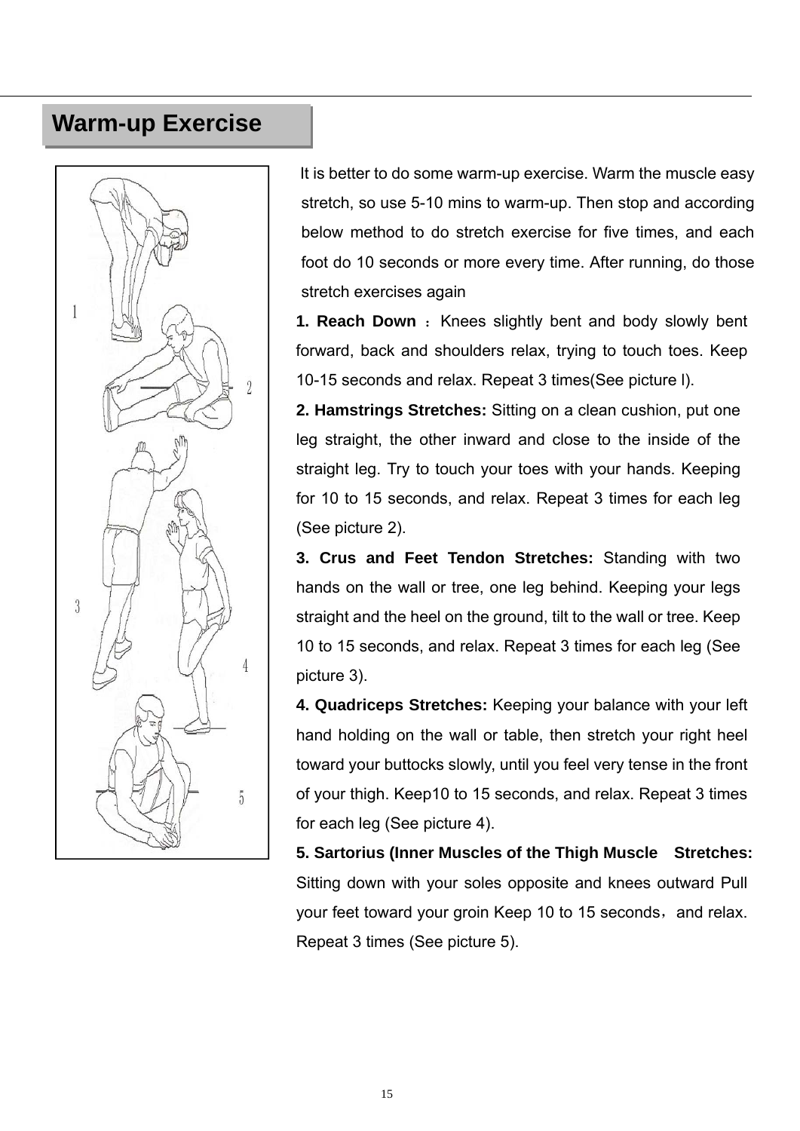### **Warm-up Exercise**



It is better to do some warm-up exercise. Warm the muscle easy stretch, so use 5-10 mins to warm-up. Then stop and according below method to do stretch exercise for five times, and each foot do 10 seconds or more every time. After running, do those stretch exercises again

**1. Reach Down** : Knees slightly bent and body slowly bent forward, back and shoulders relax, trying to touch toes. Keep 10-15 seconds and relax. Repeat 3 times(See picture l).

**2. Hamstrings Stretches:** Sitting on a clean cushion, put one leg straight, the other inward and close to the inside of the straight leg. Try to touch your toes with your hands. Keeping for 10 to 15 seconds, and relax. Repeat 3 times for each leg (See picture 2).

**3. Crus and Feet Tendon Stretches:** Standing with two hands on the wall or tree, one leg behind. Keeping your legs straight and the heel on the ground, tilt to the wall or tree. Keep 10 to 15 seconds, and relax. Repeat 3 times for each leg (See picture 3).

**4. Quadriceps Stretches:** Keeping your balance with your left hand holding on the wall or table, then stretch your right heel toward your buttocks slowly, until you feel very tense in the front of your thigh. Keep10 to 15 seconds, and relax. Repeat 3 times for each leg (See picture 4).

**5. Sartorius (Inner Muscles of the Thigh Muscle Stretches:** Sitting down with your soles opposite and knees outward Pull your feet toward your groin Keep 10 to 15 seconds, and relax. Repeat 3 times (See picture 5).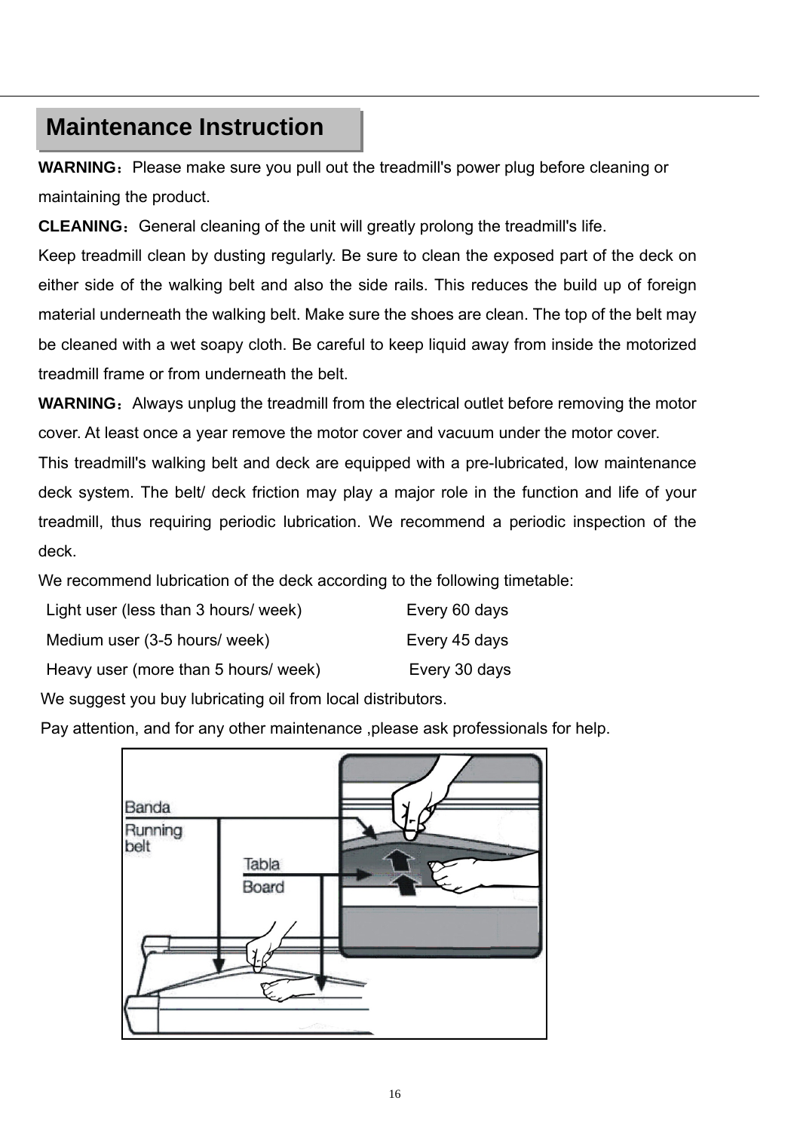### **Maintenance Instruction**

**WARNING:** Please make sure you pull out the treadmill's power plug before cleaning or maintaining the product.

**CLEANING:** General cleaning of the unit will greatly prolong the treadmill's life.

Keep treadmill clean by dusting regularly. Be sure to clean the exposed part of the deck on either side of the walking belt and also the side rails. This reduces the build up of foreign material underneath the walking belt. Make sure the shoes are clean. The top of the belt may be cleaned with a wet soapy cloth. Be careful to keep liquid away from inside the motorized treadmill frame or from underneath the belt.

**WARNING:** Always unplug the treadmill from the electrical outlet before removing the motor cover. At least once a year remove the motor cover and vacuum under the motor cover.

This treadmill's walking belt and deck are equipped with a pre-lubricated, low maintenance deck system. The belt/ deck friction may play a major role in the function and life of your treadmill, thus requiring periodic lubrication. We recommend a periodic inspection of the deck.

We recommend lubrication of the deck according to the following timetable:

| Light user (less than 3 hours/ week) | Every 60 days |
|--------------------------------------|---------------|
| Medium user (3-5 hours/ week)        | Every 45 days |
| Heavy user (more than 5 hours/ week) | Every 30 days |

We suggest you buy lubricating oil from local distributors.

Pay attention, and for any other maintenance ,please ask professionals for help.

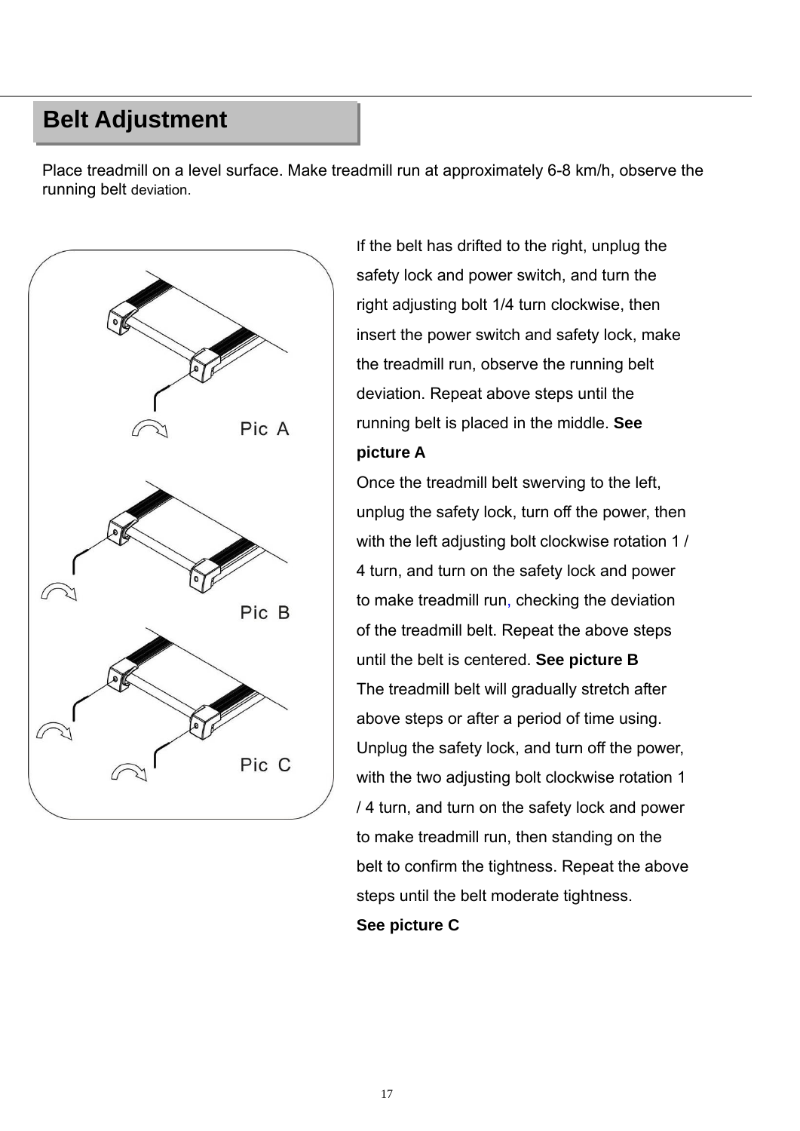### **Belt Adjustment**

Place treadmill on a level surface. Make treadmill run at approximately 6-8 km/h, observe the running belt deviation.



If the belt has drifted to the right, unplug the safety lock and power switch, and turn the right adjusting bolt 1/4 turn clockwise, then insert the power switch and safety lock, make the treadmill run, observe the running belt deviation. Repeat above steps until the running belt is placed in the middle. **See picture A**

Once the treadmill belt swerving to the left, unplug the safety lock, turn off the power, then with the left adjusting bolt clockwise rotation 1 / 4 turn, and turn on the safety lock and power to make treadmill run, checking the deviation of the treadmill belt. Repeat the above steps until the belt is centered. **See picture B**  The treadmill belt will gradually stretch after above steps or after a period of time using. Unplug the safety lock, and turn off the power, with the two adjusting bolt clockwise rotation 1 / 4 turn, and turn on the safety lock and power to make treadmill run, then standing on the belt to confirm the tightness. Repeat the above steps until the belt moderate tightness.

**See picture C**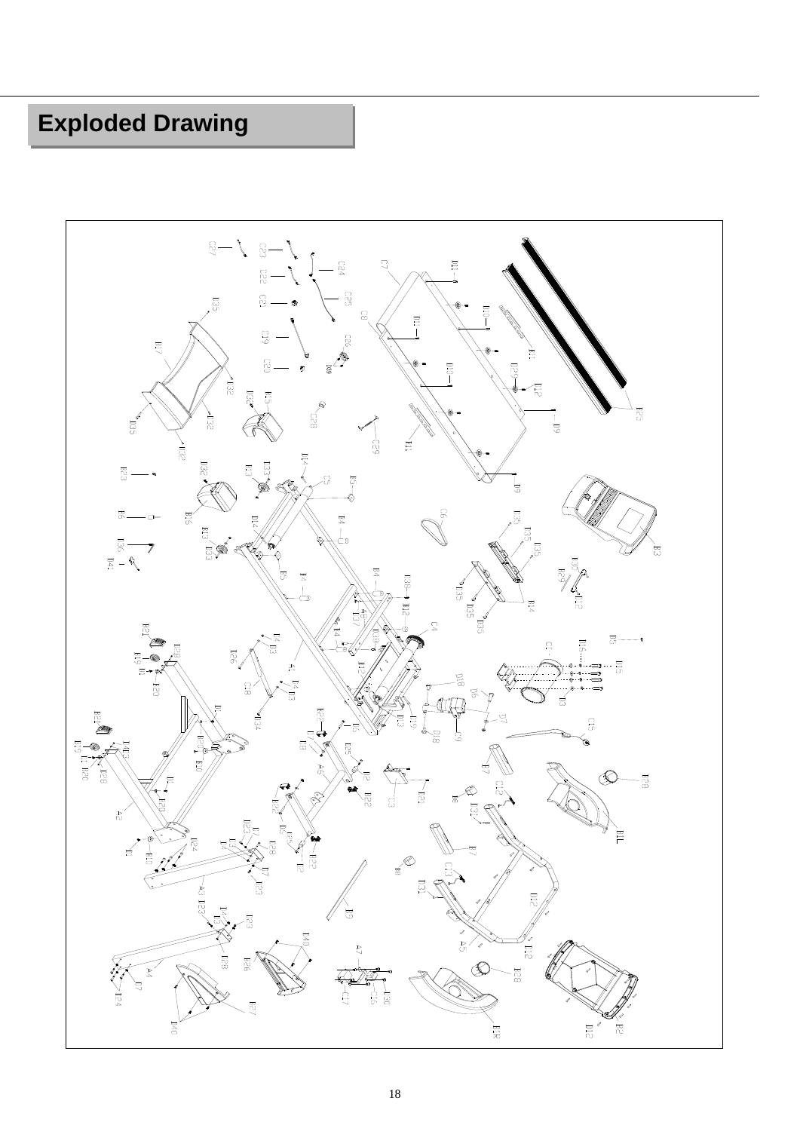## **Exploded Drawing**

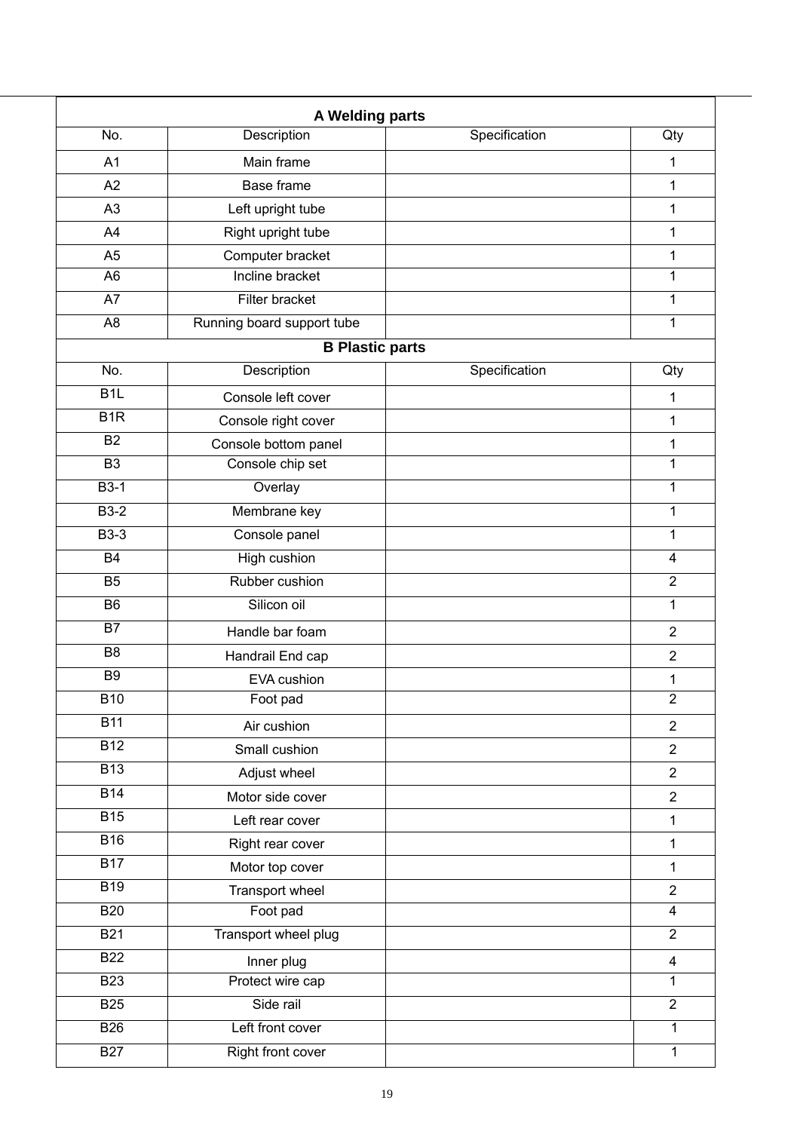| A Welding parts  |                            |               |                         |  |  |  |  |
|------------------|----------------------------|---------------|-------------------------|--|--|--|--|
| No.              | Description                | Specification | Qty                     |  |  |  |  |
| A1               | Main frame                 |               | $\mathbf{1}$            |  |  |  |  |
| A2               | Base frame                 |               | $\mathbf{1}$            |  |  |  |  |
| A3               | Left upright tube          |               | 1                       |  |  |  |  |
| A4               | Right upright tube         |               | $\mathbf{1}$            |  |  |  |  |
| A <sub>5</sub>   | Computer bracket           |               | $\mathbf 1$             |  |  |  |  |
| A <sub>6</sub>   | Incline bracket            |               | 1                       |  |  |  |  |
| $\overline{A7}$  | <b>Filter bracket</b>      |               | $\mathbf{1}$            |  |  |  |  |
| A <sub>8</sub>   | Running board support tube |               | $\mathbf{1}$            |  |  |  |  |
|                  | <b>B Plastic parts</b>     |               |                         |  |  |  |  |
| No.              | Description                | Specification | Qty                     |  |  |  |  |
| B <sub>1</sub>   | Console left cover         |               | 1                       |  |  |  |  |
| B <sub>1</sub> R | Console right cover        |               | 1                       |  |  |  |  |
| $\overline{B2}$  | Console bottom panel       |               | $\mathbf 1$             |  |  |  |  |
| $\overline{B3}$  | Console chip set           |               | $\mathbf 1$             |  |  |  |  |
| $B3-1$           | Overlay                    |               | $\mathbf{1}$            |  |  |  |  |
| $B3-2$           | Membrane key               |               | $\mathbf{1}$            |  |  |  |  |
| $B3-3$           | Console panel              |               | 1                       |  |  |  |  |
| <b>B4</b>        | <b>High cushion</b>        |               | $\overline{\mathbf{4}}$ |  |  |  |  |
| $\overline{B5}$  | Rubber cushion             |               | $\overline{2}$          |  |  |  |  |
| B <sub>6</sub>   | Silicon oil                |               | 1                       |  |  |  |  |
| <b>B7</b>        | Handle bar foam            |               | $\overline{2}$          |  |  |  |  |
| B <sub>8</sub>   | Handrail End cap           |               | $\overline{2}$          |  |  |  |  |
| B <sub>9</sub>   | EVA cushion                |               | 1                       |  |  |  |  |
| <b>B10</b>       | Foot pad                   |               | $\boldsymbol{2}$        |  |  |  |  |
| <b>B11</b>       | Air cushion                |               | $\overline{2}$          |  |  |  |  |
| B12              | Small cushion              |               | $\overline{2}$          |  |  |  |  |
| <b>B13</b>       | Adjust wheel               |               | $\overline{2}$          |  |  |  |  |
| $\overline{B14}$ | Motor side cover           |               | $\overline{2}$          |  |  |  |  |
| <b>B15</b>       | Left rear cover            |               | $\mathbf{1}$            |  |  |  |  |
| <b>B16</b>       | Right rear cover           |               | $\mathbf{1}$            |  |  |  |  |
| $\overline{B17}$ | Motor top cover            |               | $\mathbf{1}$            |  |  |  |  |
| <b>B19</b>       | Transport wheel            |               | $\mathbf{2}$            |  |  |  |  |
| <b>B20</b>       | Foot pad                   |               | $\overline{4}$          |  |  |  |  |
| <b>B21</b>       | Transport wheel plug       |               | $\overline{2}$          |  |  |  |  |
| <b>B22</b>       | Inner plug                 |               | $\overline{\mathbf{4}}$ |  |  |  |  |
| <b>B23</b>       | Protect wire cap           |               | $\mathbf{1}$            |  |  |  |  |
| <b>B25</b>       | Side rail                  |               | $\overline{2}$          |  |  |  |  |
| <b>B26</b>       | Left front cover           |               | $\mathbf{1}$            |  |  |  |  |
| <b>B27</b>       | Right front cover          |               | $\overline{1}$          |  |  |  |  |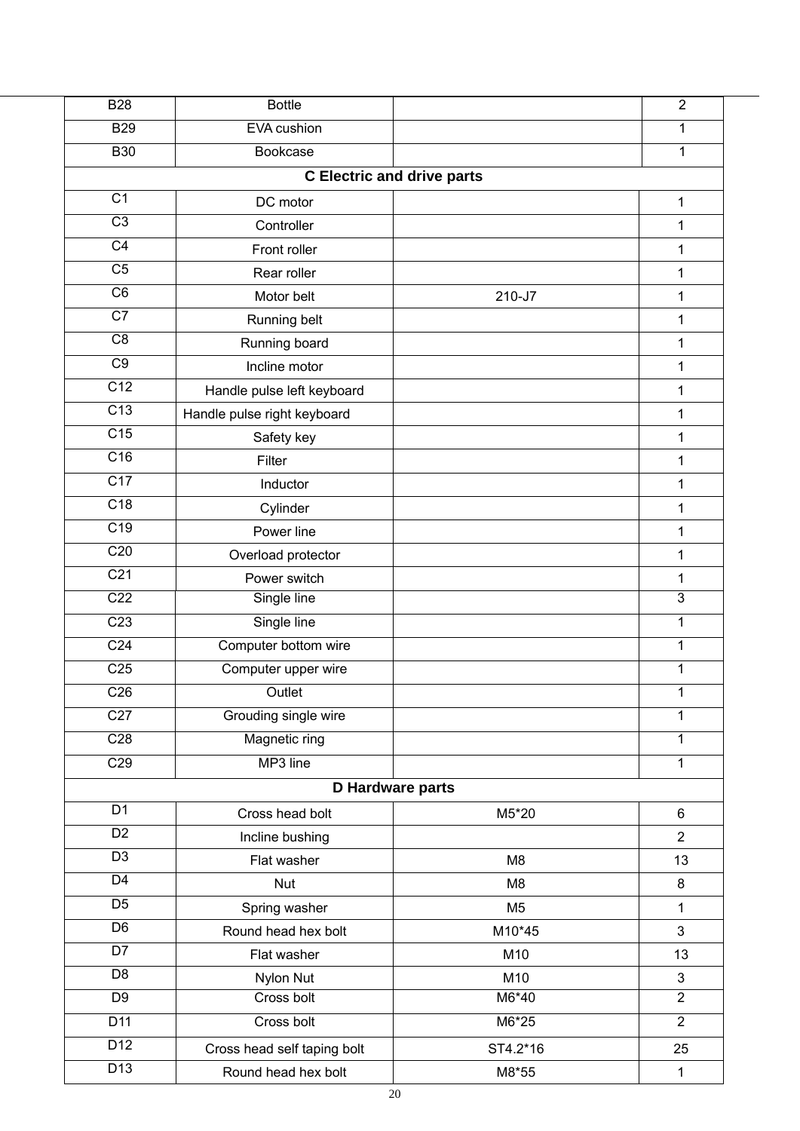| <b>B28</b>       | <b>Bottle</b>               |                                   | $\overline{2}$ |
|------------------|-----------------------------|-----------------------------------|----------------|
| <b>B29</b>       | EVA cushion                 |                                   | 1              |
| <b>B30</b>       | Bookcase                    |                                   | 1              |
|                  |                             | <b>C</b> Electric and drive parts |                |
| $\overline{C1}$  | DC motor                    |                                   | 1              |
| $\overline{C3}$  | Controller                  |                                   | 1              |
| $\overline{C4}$  | Front roller                |                                   | 1              |
| $\overline{C5}$  | Rear roller                 |                                   | 1              |
| C <sub>6</sub>   | Motor belt                  | 210-J7                            | 1              |
| $\overline{C7}$  | Running belt                |                                   | 1              |
| $\overline{C8}$  | Running board               |                                   | 1              |
| C <sub>9</sub>   | Incline motor               |                                   | 1              |
| $\overline{C12}$ | Handle pulse left keyboard  |                                   | 1              |
| $\overline{C13}$ | Handle pulse right keyboard |                                   | 1              |
| C15              | Safety key                  |                                   | 1              |
| $\overline{C16}$ | Filter                      |                                   | $\mathbf{1}$   |
| C17              | Inductor                    |                                   | 1              |
| C18              | Cylinder                    |                                   | 1              |
| $\overline{C19}$ | Power line                  |                                   | 1              |
| C20              | Overload protector          |                                   | 1              |
| C <sub>21</sub>  | Power switch                |                                   | $\mathbf{1}$   |
| C <sub>22</sub>  | Single line                 |                                   | $\overline{3}$ |
| C <sub>23</sub>  | Single line                 |                                   | $\mathbf 1$    |
| C <sub>24</sub>  | Computer bottom wire        |                                   | 1              |
| C <sub>25</sub>  | Computer upper wire         |                                   | 1              |
| C <sub>26</sub>  | Outlet                      |                                   | 1              |
| $\overline{C27}$ | Grouding single wire        |                                   | 1              |
| C28              | Magnetic ring               |                                   | 1              |
| C29              | MP3 line                    |                                   | 1              |
|                  |                             | D Hardware parts                  |                |
| D <sub>1</sub>   | Cross head bolt             | M5*20                             | $\,6\,$        |
| $\overline{D2}$  | Incline bushing             |                                   | $\overline{2}$ |
| $\overline{D3}$  | Flat washer                 | M <sub>8</sub>                    | 13             |
| $\overline{D4}$  | <b>Nut</b>                  | M <sub>8</sub>                    | 8              |
| D <sub>5</sub>   | Spring washer               | M <sub>5</sub>                    | $\mathbf{1}$   |
| $\overline{D6}$  | Round head hex bolt         | M10*45                            | 3              |
| $\overline{D7}$  | Flat washer                 | M10                               | 13             |
| D <sub>8</sub>   | Nylon Nut                   | M10                               | $\mathsf 3$    |
| $\overline{D9}$  | Cross bolt                  | M6*40                             | $\overline{2}$ |
| $\overline{D11}$ | Cross bolt                  | M6*25                             | $\overline{2}$ |
| $\overline{D12}$ | Cross head self taping bolt | ST4.2*16                          | 25             |
| $\overline{D13}$ | Round head hex bolt         | M8*55                             | 1              |
|                  |                             |                                   |                |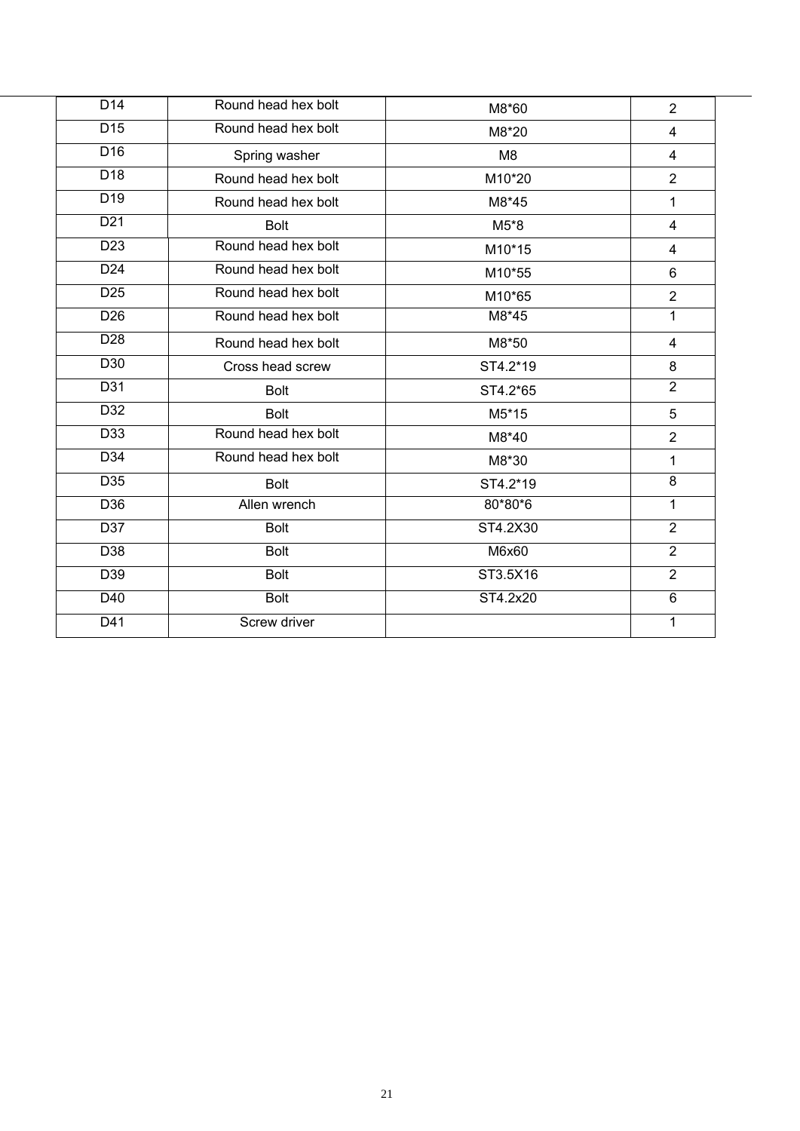| D <sub>14</sub>  | Round head hex bolt | M8*60          | $\overline{2}$      |
|------------------|---------------------|----------------|---------------------|
| $\overline{D15}$ | Round head hex bolt | M8*20          | 4                   |
| D <sub>16</sub>  | Spring washer       | M <sub>8</sub> | $\overline{4}$      |
| $\overline{D18}$ | Round head hex bolt | M10*20         | $\overline{2}$      |
| $\overline{D19}$ | Round head hex bolt | M8*45          | 1                   |
| D <sub>21</sub>  | <b>Bolt</b>         | M5*8           | 4                   |
| D <sub>23</sub>  | Round head hex bolt | M10*15         | 4                   |
| D <sub>24</sub>  | Round head hex bolt | M10*55         | 6                   |
| D <sub>25</sub>  | Round head hex bolt | M10*65         | $\overline{2}$      |
| D <sub>26</sub>  | Round head hex bolt | M8*45          | $\mathbf{1}$        |
| $\overline{D28}$ | Round head hex bolt | M8*50          | $\overline{4}$      |
| D30              | Cross head screw    | ST4.2*19       | 8                   |
| D31              | <b>Bolt</b>         | ST4.2*65       | $\overline{2}$      |
| D32              | <b>Bolt</b>         | M5*15          | 5                   |
| D33              | Round head hex bolt | M8*40          | $\overline{2}$      |
| D34              | Round head hex bolt | M8*30          | 1                   |
| D35              | <b>Bolt</b>         | ST4.2*19       | $\overline{\infty}$ |
| D36              | Allen wrench        | 80*80*6        | $\mathbf 1$         |
| D37              | <b>Bolt</b>         | ST4.2X30       | $\overline{2}$      |
| D38              | <b>Bolt</b>         | M6x60          | $\overline{2}$      |
| D39              | <b>Bolt</b>         | ST3.5X16       | $\overline{2}$      |
| D40              | <b>Bolt</b>         | ST4.2x20       | $6\phantom{1}$      |
| $\overline{D41}$ | Screw driver        |                | 1                   |
|                  |                     |                |                     |

l,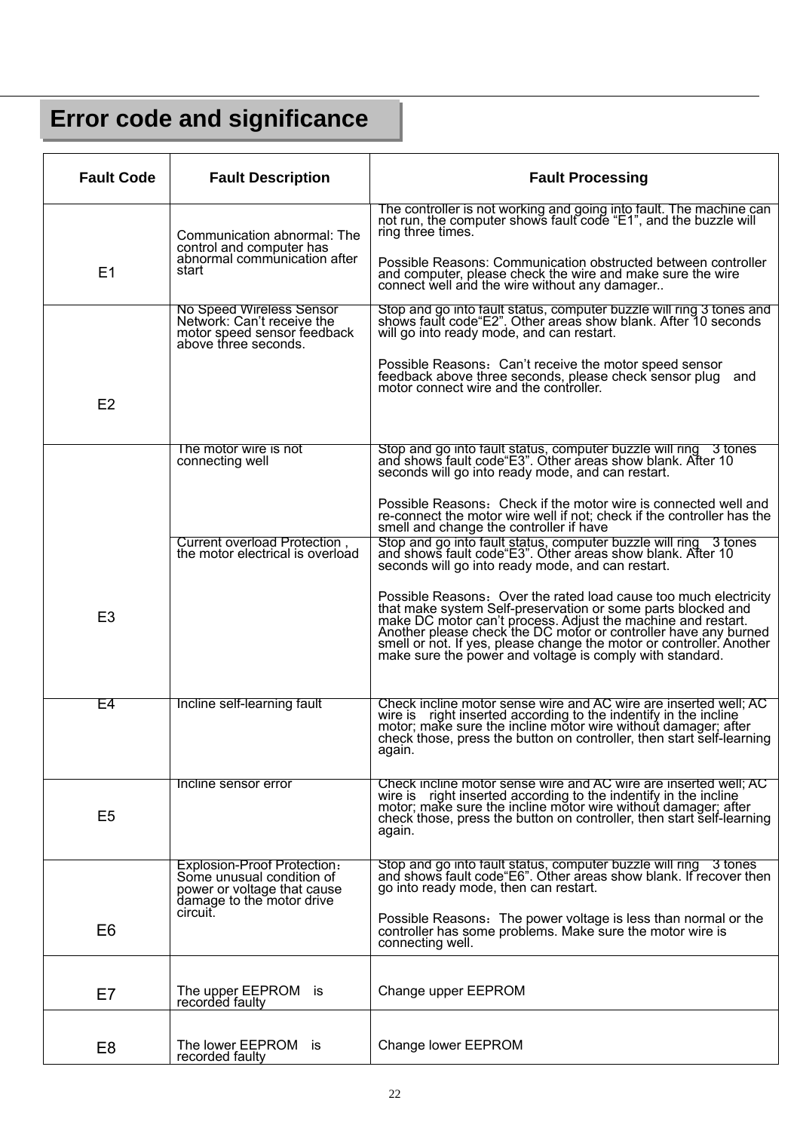## **Error code and significance**

| <b>Fault Code</b> | <b>Fault Description</b>                                                                                             | <b>Fault Processing</b>                                                                                                                                                                                                                                                                                                                                                                                 |
|-------------------|----------------------------------------------------------------------------------------------------------------------|---------------------------------------------------------------------------------------------------------------------------------------------------------------------------------------------------------------------------------------------------------------------------------------------------------------------------------------------------------------------------------------------------------|
|                   | Communication abnormal: The                                                                                          | The controller is not working and going into fault. The machine can not run, the computer shows fault code "E1", and the buzzle will<br>ring three times.                                                                                                                                                                                                                                               |
| E1                | control and computer has<br>abnormal communication after<br>start                                                    | Possible Reasons: Communication obstructed between controller<br>and computer, please check the wire and make sure the wire<br>connect well and the wire without any damager                                                                                                                                                                                                                            |
|                   | No Speed Wireless Sensor<br>Network: Can't receive the<br>motor speed sensor feedback<br>above three seconds.        | Stop and go into fault status, computer buzzle will ring 3 tones and<br>shows fault code "E2". Other areas show blank. After 10 seconds<br>will go into ready mode, and can restart.                                                                                                                                                                                                                    |
|                   |                                                                                                                      | Possible Reasons: Can't receive the motor speed sensor<br>feedback above three seconds, please check sensor plug and<br>motor connect wire and the controller.                                                                                                                                                                                                                                          |
| E2                |                                                                                                                      |                                                                                                                                                                                                                                                                                                                                                                                                         |
|                   | The motor wire is not<br>connecting well                                                                             | Stop and go into fault status, computer buzzle will ring 3 tones<br>and shows fault code "E3". Other areas show blank. After 10<br>seconds will go into ready mode, and can restart.                                                                                                                                                                                                                    |
|                   |                                                                                                                      | Possible Reasons: Check if the motor wire is connected well and<br>re-connect the motor wire well if not; check if the controller has the<br>smell and change the controller if have                                                                                                                                                                                                                    |
|                   | Current overload Protection.<br>the motor electrical is overload                                                     | Stop and go into fault status, computer buzzle will ring 3 tones<br>and shows fault code "E3". Other areas show blank. After 10<br>seconds will go into ready mode, and can restart.                                                                                                                                                                                                                    |
| E <sub>3</sub>    |                                                                                                                      | Possible Reasons: Over the rated load cause too much electricity<br>that make system Self-preservation or some parts blocked and<br>make DC motor can't process. Adjust the machine and restart.<br>Another please check the DC motor or controller have any burned<br>smell or not. If yes, please change the motor or controller. Another<br>make sure the power and voltage is comply with standard. |
| E4                | Incline self-learning fault                                                                                          | Check incline motor sense wire and AC wire are inserted well; AC<br>wire is right inserted according to the indentify in the incline<br>motor; make sure the incline motor wire without damager; after<br>check those, press the button on controller, then start self-learning<br>again.                                                                                                               |
| E <sub>5</sub>    | Incline sensor error                                                                                                 | Check incline motor sense wire and AC wire are inserted well; AC<br>wire is right inserted according to the indentify in the incline<br>motor; make sure the incline motor wire without damager; after<br>check those, press the button on controller, then start self-learning<br>again.                                                                                                               |
|                   | Explosion-Proof Protection:<br>Some unusual condition of<br>power or voltage that cause<br>damage to the motor drive | Stop and go into fault status, computer buzzle will ring 3 tones<br>and shows fault code "E6". Other areas show blank. If recover then<br>go into ready mode, then can restart.                                                                                                                                                                                                                         |
| E <sub>6</sub>    | circuit.                                                                                                             | Possible Reasons: The power voltage is less than normal or the<br>controller has some problems. Make sure the motor wire is<br>connecting well.                                                                                                                                                                                                                                                         |
| E7                | The upper EEPROM is<br>recorded faulty                                                                               | Change upper EEPROM                                                                                                                                                                                                                                                                                                                                                                                     |
| E <sub>8</sub>    | The lower EEPROM is<br>recorded faulty                                                                               | Change lower EEPROM                                                                                                                                                                                                                                                                                                                                                                                     |